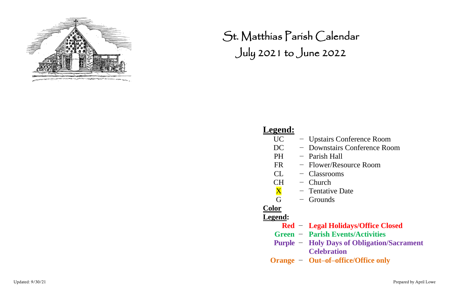Updated: 9/30/21 Prepared by April Lowe



St. Matthias Parish Calendar July 2021 to June 2022

#### **Legend:**

- UC − Upstairs Conference Room
	-
- PH Parish Hall
- FR − Flower/Resource Room
- CL − Classrooms
	-
- CH Church<br>  $\frac{\mathbf{X}}{\mathbf{G}}$  Tentativ<br>  $\frac{\mathbf{G}}{\mathbf{G}}$  Ground − Tentative Date
	- Grounds

#### **Color Legend:**

**Red** − **Legal Holidays/Office Closed Purple** − **Holy Days of Obligation/Sacrament**

- 
- **Green** − **Parish Events/Activities**
- - **Celebration**
- **Orange** − **Out–of–office/Office only**

DC − Downstairs Conference Room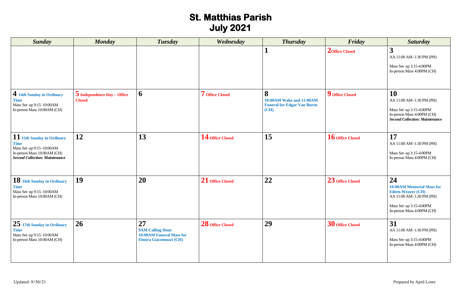# **St. Matthias Parish July 2021**

| <b>Sunday</b>                                                                                                                                 | <b>Monday</b>                                  | <b>Tuesday</b>                                                                             | Wednesday        | <b>Thursday</b>                                                                    | Friday                  | <b>Saturday</b>                                                                                                                                          |
|-----------------------------------------------------------------------------------------------------------------------------------------------|------------------------------------------------|--------------------------------------------------------------------------------------------|------------------|------------------------------------------------------------------------------------|-------------------------|----------------------------------------------------------------------------------------------------------------------------------------------------------|
|                                                                                                                                               |                                                |                                                                                            |                  |                                                                                    | <b>2</b> Office Closed  | 3<br>AA 11:00 AM-1:30 PM (PH)<br>Mass Set-up 3:15-4:00PM<br>In-person Mass 4:00PM (CH)                                                                   |
| 4 14th Sunday in Ordinary<br><b>Time</b><br>Mass Set-up 9:15-10:00AM<br>In-person Mass 10:00AM (CH)                                           | $5$ Independence Day – Office<br><b>Closed</b> | 6                                                                                          | 7 Office Closed  | 8<br><b>10:00AM Wake and 11:00AM</b><br><b>Funeral for Edgar Van Buren</b><br>(CH) | 9 Office Closed         | 10<br>AA 11:00 AM-1:30 PM (PH)<br>Mass Set-up 3:15-4:00PM<br>In-person Mass 4:00PM (CH)<br><b>Second Collection: Maintenance</b>                         |
| 11 15th Sunday in Ordinary<br><b>Time</b><br>Mass Set-up 9:15-10:00AM<br>In-person Mass 10:00AM (CH)<br><b>Second Collection: Maintenance</b> | 12                                             | 13                                                                                         | 14 Office Closed | 15                                                                                 | 16 Office Closed        | 17<br>AA 11:00 AM-1:30 PM (PH)<br>Mass Set-up 3:15-4:00PM<br>In-person Mass 4:00PM (CH)                                                                  |
| 18 16th Sunday in Ordinary<br><b>Time</b><br>Mass Set-up 9:15-10:00AM<br>In-person Mass 10:00AM (CH)                                          | 19                                             | <b>20</b>                                                                                  | 21 Office Closed | 22                                                                                 | 23 Office Closed        | 24<br><b>10:00AM Memorial Mass for</b><br><b>Eileen Weaver (CH)</b><br>AA 11:00 AM-1:30 PM (PH)<br>Mass Set-up 3:15-4:00PM<br>In-person Mass 4:00PM (CH) |
| 25 17th Sunday in Ordinary<br><b>Time</b><br>Mass Set-up 9:15-10:00AM<br>In-person Mass 10:00AM (CH)                                          | 26                                             | 27<br><b>9AM Calling Hour</b><br><b>10:00AM Funeral Mass for</b><br>Elmira Giacomuzzi (CH) | 28 Office Closed | 29                                                                                 | <b>30</b> Office Closed | 31<br>AA 11:00 AM-1:30 PM (PH)<br>Mass Set-up 3:15-4:00PM<br>In-person Mass 4:00PM (CH)                                                                  |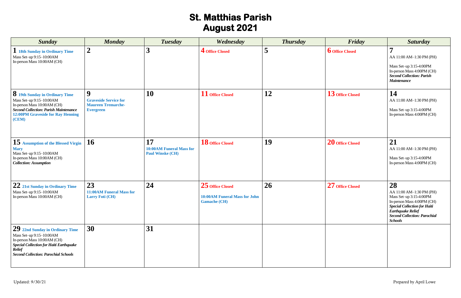# **St. Matthias Parish August 2021**

| <b>Sunday</b>                                                                                                                                                                                                | <b>Monday</b>                                                                                     | Tuesday                                                          | Wednesday                                                                       | <b>Thursday</b> | Friday                 | <b>Saturday</b>                                                                                                                                                                                                     |
|--------------------------------------------------------------------------------------------------------------------------------------------------------------------------------------------------------------|---------------------------------------------------------------------------------------------------|------------------------------------------------------------------|---------------------------------------------------------------------------------|-----------------|------------------------|---------------------------------------------------------------------------------------------------------------------------------------------------------------------------------------------------------------------|
| 18th Sunday in Ordinary Time<br>Mass Set-up 9:15-10:00AM<br>In-person Mass 10:00AM (CH)                                                                                                                      | $\boldsymbol{2}$                                                                                  | 3                                                                | 4 Office Closed                                                                 | 5               | <b>6</b> Office Closed | $\overline{\mathbf{z}}$<br>AA 11:00 AM-1:30 PM (PH)<br>Mass Set-up 3:15-4:00PM<br>In-person Mass 4:00PM (CH)<br><b>Second Collection: Parish</b><br><b>Maintenance</b>                                              |
| <b>8</b> 19th Sunday in Ordinary Time<br>Mass Set-up 9:15-10:00AM<br>In-person Mass 10:00AM (CH)<br><b>Second Collection: Parish Maintenance</b><br>12:00PM Graveside for Ray Henning<br>(CEM)               | $\boldsymbol{9}$<br><b>Graveside Service for</b><br><b>Maureen Tremarche-</b><br><b>Evergreen</b> | 10                                                               | 11 Office Closed                                                                | 12              | 13 Office Closed       | 14<br>AA 11:00 AM-1:30 PM (PH)<br>Mass Set-up 3:15-4:00PM<br>In-person Mass 4:00PM (CH)                                                                                                                             |
| 15 Assumption of the Blessed Virgin<br><b>Mary</b><br>Mass Set-up 9:15-10:00AM<br>In-person Mass 10:00AM (CH)<br><b>Collection: Assumption</b>                                                               | 16                                                                                                | 17<br><b>10:00AM Funeral Mass for</b><br><b>Paul Winske (CH)</b> | ${\bf 18}$ Office Closed                                                        | 19              | 20 Office Closed       | 21<br>AA 11:00 AM-1:30 PM (PH)<br>Mass Set-up 3:15-4:00PM<br>In-person Mass 4:00PM (CH)                                                                                                                             |
| 22 21st Sunday in Ordinary Time<br>Mass Set-up 9:15-10:00AM<br>In-person Mass 10:00AM (CH)                                                                                                                   | 23<br>11:00AM Funeral Mass for<br><b>Larry Foti (CH)</b>                                          | 24                                                               | 25 Office Closed<br><b>10:00AM Funeral Mass for John</b><br><b>Gamache (CH)</b> | 26              | 27 Office Closed       | 28<br>AA 11:00 AM-1:30 PM (PH)<br>Mass Set-up 3:15-4:00PM<br>In-person Mass 4:00PM (CH)<br><b>Special Collection for Haiti</b><br><b>Earthquake Relief</b><br><b>Second Collection: Parochial</b><br><b>Schools</b> |
| $\sim 29$ 22nd Sunday in Ordinary Time<br>Mass Set-up 9:15-10:00AM<br>In-person Mass 10:00AM (CH)<br>Special Collection for Haiti Earthquake<br><b>Relief</b><br><b>Second Collection: Parochial Schools</b> | 30                                                                                                | 31                                                               |                                                                                 |                 |                        |                                                                                                                                                                                                                     |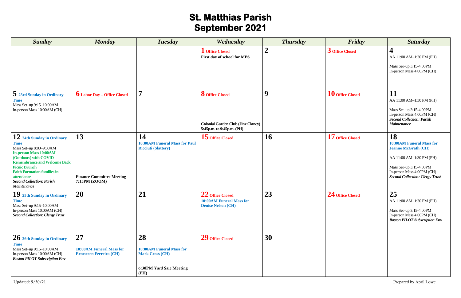# **St. Matthias Parish September 2021**

| <b>Sunday</b>                                                                                                                                                                                                                                                                                                      | <b>Monday</b>                                                           | <b>Tuesday</b>                                                                                      | Wednesday                                                                                        | <b>Thursday</b>  | Friday           | <b>Saturday</b>                                                                                                                                                                                    |
|--------------------------------------------------------------------------------------------------------------------------------------------------------------------------------------------------------------------------------------------------------------------------------------------------------------------|-------------------------------------------------------------------------|-----------------------------------------------------------------------------------------------------|--------------------------------------------------------------------------------------------------|------------------|------------------|----------------------------------------------------------------------------------------------------------------------------------------------------------------------------------------------------|
|                                                                                                                                                                                                                                                                                                                    |                                                                         |                                                                                                     | <b>L</b> Office Closed<br>First day of school for MPS                                            | $\boldsymbol{2}$ | 3 Office Closed  | AA 11:00 AM-1:30 PM (PH)<br>Mass Set-up 3:15-4:00PM<br>In-person Mass 4:00PM (CH)                                                                                                                  |
| 5 23rd Sunday in Ordinary<br><b>Time</b><br>Mass Set-up 9:15-10:00AM<br>In-person Mass 10:00AM (CH)                                                                                                                                                                                                                | <b>6</b> Labor Day – Office Closed                                      | $\overline{\phantom{a}}$                                                                            | <b>8</b> Office Closed<br><b>Colonial Garden Club (Jinx Clancy)</b><br>5:45p.m. to 9:45p.m. (PH) | 9                | 10 Office Closed | 11<br>AA 11:00 AM-1:30 PM (PH)<br>Mass Set-up 3:15-4:00PM<br>In-person Mass 4:00PM (CH)<br><b>Second Collection: Parish</b><br><b>Maintenance</b>                                                  |
| $\bf{12}$ 24th Sunday in Ordinary<br><b>Time</b><br>Mass Set-up 8:00-9:30AM<br><b>In-person Mass 10:00AM</b><br>(Outdoors) with COVID<br><b>Remembrance and Welcome Back</b><br><b>Picnic Brunch</b><br><b>Faith Formation families in</b><br>attendance<br><b>Second Collection: Parish</b><br><b>Maintenance</b> | 13<br><b>Finance Committee Meeting</b><br>7:15PM (ZOOM)                 | 14<br><b>10:00AM Funeral Mass for Paul</b><br><b>Ricciuti (Slattery)</b>                            | $15$ Office Closed                                                                               | 16               | 17 Office Closed | 18<br><b>10:00AM Funeral Mass for</b><br><b>Jeanne McGrath (CH)</b><br>AA 11:00 AM-1:30 PM (PH)<br>Mass Set-up 3:15-4:00PM<br>In-person Mass 4:00PM (CH)<br><b>Second Collection: Clergy Trust</b> |
| $19$ 25th Sunday in Ordinary<br><b>Time</b><br>Mass Set-up 9:15-10:00AM<br>In-person Mass 10:00AM (CH)<br><b>Second Collection: Clergy Trust</b>                                                                                                                                                                   | <b>20</b>                                                               | 21                                                                                                  | 22 Office Closed<br><b>10:00AM Funeral Mass for</b><br><b>Denise Nelson (CH)</b>                 | 23               | 24 Office Closed | 25<br>AA 11:00 AM-1:30 PM (PH)<br>Mass Set-up 3:15-4:00PM<br>In-person Mass 4:00PM (CH)<br><b>Boston PILOT Subscription Env</b>                                                                    |
| 26 26th Sunday in Ordinary<br><b>Time</b><br>Mass Set-up 9:15-10:00AM<br>In-person Mass 10:00AM (CH)<br><b>Boston PILOT Subscription Env</b>                                                                                                                                                                       | 27<br><b>10:00AM Funeral Mass for</b><br><b>Ernesteen Ferreira (CH)</b> | 28<br><b>10:00AM Funeral Mass for</b><br><b>Mark Cross (CH)</b><br>6:30PM Yard Sale Meeting<br>(PH) | 29 Office Closed                                                                                 | 30               |                  |                                                                                                                                                                                                    |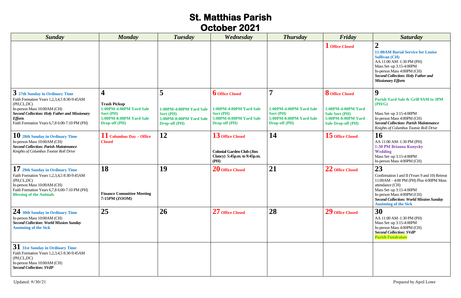#### **St. Matthias Parish October 2021**

| <b>Sunday</b>                                                                                                                                                                                                                                         | <b>Monday</b>                                                                                                       | <b>Tuesday</b>                                                                                             | Wednesday                                                                                                         | <b>Thursday</b>                                                                                | Friday                                                                                                                   | <b>Saturday</b>                                                                                                                                                                                                                                                   |
|-------------------------------------------------------------------------------------------------------------------------------------------------------------------------------------------------------------------------------------------------------|---------------------------------------------------------------------------------------------------------------------|------------------------------------------------------------------------------------------------------------|-------------------------------------------------------------------------------------------------------------------|------------------------------------------------------------------------------------------------|--------------------------------------------------------------------------------------------------------------------------|-------------------------------------------------------------------------------------------------------------------------------------------------------------------------------------------------------------------------------------------------------------------|
|                                                                                                                                                                                                                                                       |                                                                                                                     |                                                                                                            |                                                                                                                   |                                                                                                | <b>I</b> Office Closed                                                                                                   | <b>11:00AM Burial Service for Louise</b><br><b>Sullivan (CH)</b><br>AA 11:00 AM-1:30 PM (PH)<br>Mass Set-up 3:15-4:00PM<br>In-person Mass 4:00PM (CH)<br><b>Second Collection: Holy Father and</b><br><b>Missionary Efforts</b>                                   |
| 3 27th Sunday in Ordinary Time<br>Faith Formation Years 1,2,3,4,5 8:30-9:45AM<br>(PH,CL,DC)<br>In-person Mass 10:00AM (CH)<br><b>Second Collection: Holy Father and Missionary</b><br><b>Efforts</b><br>Faith Formation Years 6,7,8 6:00-7:10 PM (PH) | 4<br><b>Trash Pickup</b><br>1:00PM-4:00PM Yard Sale<br>Sort (PH)<br>5:00PM-8:00PM Yard Sale<br><b>Drop-off (PH)</b> | 5<br><b>1:00PM-4:00PM Yard Sale</b><br><b>Sort (PH)</b><br>5:00PM-8:00PM Yard Sale<br><b>Drop-off (PH)</b> | <b>b</b> Office Closed<br>1:00PM-4:00PM Yard Sale<br>Sort (PH)<br>5:00PM-8:00PM Yard Sale<br><b>Drop-off (PH)</b> | <b>1:00PM-4:00PM Yard Sale</b><br>Sort (PH)<br>5:00PM-8:00PM Yard Sale<br><b>Drop-off (PH)</b> | <b>8</b> Office Closed<br>1:00PM-4:00PM Yard<br><b>Sale Sort (PH)</b><br>5:00PM-8:00PM Yard<br><b>Sale Drop-off (PH)</b> | 9<br>Parish Yard Sale & Grill 9AM to 3PM<br>(PH/G)<br>Mass Set-up 3:15-4:00PM<br>In-person Mass 4:00PM (CH)<br><b>Second Collection: Parish Maintenance</b><br>Knights of Columbus Tootsie Roll Drive                                                             |
| 10 28th Sunday in Ordinary Time<br>In-person Mass 10:00AM (CH)<br><b>Second Collection: Parish Maintenance</b><br>Knights of Columbus Tootsie Roll Drive                                                                                              | $11$ Columbus Day – Office<br><b>Closed</b>                                                                         | <b>12</b>                                                                                                  | 13 Office Closed<br><b>Colonial Garden Club (Jinx</b><br>Clancy) 5:45p.m. to 9:45p.m.<br>(PH)                     | 14                                                                                             | ${\bf 15}$ Office Closed                                                                                                 | <b>16</b><br>AA 11:00 AM-1:30 PM (PH)<br>1:30 PM Brianna Kunycky<br>Wedding<br>Mass Set-up 3:15-4:00PM<br>In-person Mass 4:00PM (CH)                                                                                                                              |
| 17 29th Sunday in Ordinary Time<br>Faith Formation Years 1,2,3,4,5 8:30-9:45AM<br>(PH,CL,DC)<br>In-person Mass 10:00AM (CH)<br>Faith Formation Years 6,7,8 6:00-7:10 PM (PH)<br><b>Blessing of the Animals</b>                                        | <b>18</b><br><b>Finance Committee Meeting</b><br>7:15PM (ZOOM)                                                      | 19                                                                                                         | 20 Office Closed                                                                                                  | 21                                                                                             | 22 Office Closed                                                                                                         | 23<br>Confirmation I and II (Years 9 and 10) Retreat<br>$11:00AM - 4:00 PM$ (PH) Plus $4:00PM$ Mass<br>attendance (CH)<br>Mass Set-up 3:15-4:00PM<br>In-person Mass 4:00PM (CH)<br><b>Second Collection: World Mission Sunday</b><br><b>Anointing of the Sick</b> |
| 24 30th Sunday in Ordinary Time<br>In-person Mass 10:00AM (CH)<br><b>Second Collection: World Mission Sunday</b><br><b>Anointing of the Sick</b>                                                                                                      | 25                                                                                                                  | <b>26</b>                                                                                                  | 27 Office Closed                                                                                                  | 28                                                                                             | 29 Office Closed                                                                                                         | 30<br>AA 11:00 AM-1:30 PM (PH)<br>Mass Set-up 3:15-4:00PM<br>In-person Mass 4:00PM (CH)<br><b>Second Collection: SVdP</b><br><b>Parish Fundraiser</b>                                                                                                             |
| 31 31st Sunday in Ordinary Time<br>Faith Formation Years 1,2,3,4,5 8:30-9:45AM<br>(PH, CL, DC)<br>In-person Mass 10:00AM (CH)<br><b>Second Collection: SVdP</b>                                                                                       |                                                                                                                     |                                                                                                            |                                                                                                                   |                                                                                                |                                                                                                                          |                                                                                                                                                                                                                                                                   |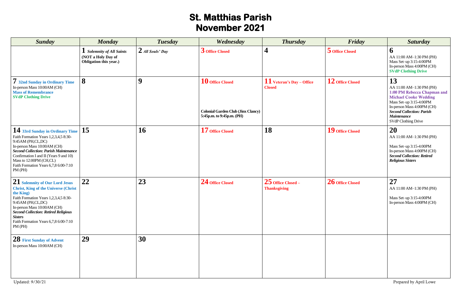## **St. Matthias Parish November 2021**

| <b>Sunday</b>                                                                                                                                                                                                                                                                                                           | <b>Monday</b>                                                                    | <b>Tuesday</b>     | Wednesday                                                                                  | <b>Thursday</b>                              | Friday             | <b>Saturday</b>                                                                                                                                                                                                                         |
|-------------------------------------------------------------------------------------------------------------------------------------------------------------------------------------------------------------------------------------------------------------------------------------------------------------------------|----------------------------------------------------------------------------------|--------------------|--------------------------------------------------------------------------------------------|----------------------------------------------|--------------------|-----------------------------------------------------------------------------------------------------------------------------------------------------------------------------------------------------------------------------------------|
|                                                                                                                                                                                                                                                                                                                         | <b>I</b> Solemnity of All Saints<br>(NOT a Holy Day of<br>Obligation this year.) | $2$ All Souls' Day | 3 Office Closed                                                                            | $\boldsymbol{4}$                             | 5 Office Closed    | $\boldsymbol{\theta}$<br>AA 11:00 AM-1:30 PM (PH)<br>Mass Set-up 3:15-4:00PM<br>In-person Mass 4:00PM (CH)<br><b>SVdP Clothing Drive</b>                                                                                                |
| 7 32nd Sunday in Ordinary Time<br>In-person Mass 10:00AM (CH)<br><b>Mass of Remembrance</b><br><b>SVdP Clothing Drive</b>                                                                                                                                                                                               | 8                                                                                | 9                  | 10 Office Closed<br><b>Colonial Garden Club (Jinx Clancy)</b><br>5:45p.m. to 9:45p.m. (PH) | $11$ Veteran's Day – Office<br><b>Closed</b> | $12$ Office Closed | 13<br>AA 11:00 AM-1:30 PM (PH)<br>1:00 PM Rebecca Chapman and<br><b>Michael Cooke Wedding</b><br>Mass Set-up 3:15-4:00PM<br>In-person Mass 4:00PM (CH)<br><b>Second Collection: Parish</b><br><b>Maintenance</b><br>SVdP Clothing Drive |
| 14 33rd Sunday in Ordinary Time<br>Faith Formation Years 1,2,3,4,5 8:30-<br>9:45AM (PH,CL,DC)<br>In-person Mass 10:00AM (CH)<br><b>Second Collection: Parish Maintenance</b><br>Confirmation I and II (Years 9 and 10)<br>Mass to 12:00PM (CH,CL)<br>Faith Formation Years 6,7,8 6:00-7:10<br>PM (PH)                   | 15                                                                               | 16                 | 17 Office Closed                                                                           | 18                                           | 19 Office Closed   | 20<br>AA 11:00 AM-1:30 PM (PH)<br>Mass Set-up 3:15-4:00PM<br>In-person Mass 4:00PM (CH)<br><b>Second Collection: Retired</b><br><b>Religious Sisters</b>                                                                                |
| ${\bf 21}$ Solemnity of Our Lord Jesus<br><b>Christ, King of the Universe (Christ)</b><br>the King)<br>Faith Formation Years 1,2,3,4,5 8:30-<br>9:45AM (PH,CL,DC)<br>In-person Mass 10:00AM (CH)<br><b>Second Collection: Retired Religious</b><br><b>Sisters</b><br>Faith Formation Years 6,7,8 6:00-7:10<br>$PM$ (PH) | 22                                                                               | 23                 | 24 Office Closed                                                                           | $25$ Office Closed –<br><b>Thanksgiving</b>  | 26 Office Closed   | 27<br>AA 11:00 AM-1:30 PM (PH)<br>Mass Set-up 3:15-4:00PM<br>In-person Mass 4:00PM (CH)                                                                                                                                                 |
| 28 First Sunday of Advent<br>In-person Mass 10:00AM (CH)                                                                                                                                                                                                                                                                | 29                                                                               | 30                 |                                                                                            |                                              |                    |                                                                                                                                                                                                                                         |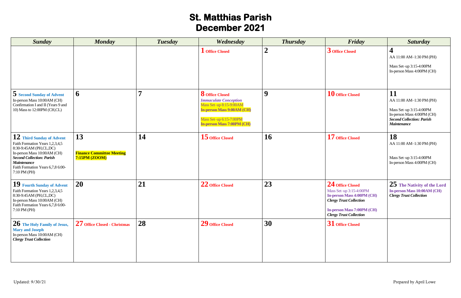## **St. Matthias Parish December 2021**

| <b>Sunday</b>                                                                                                                                                                                                                        | <b>Monday</b>                                                  | <b>Tuesday</b> | Wednesday                                                                                                                                                                       | <b>Thursday</b>  | Friday                                                                                                                                                                                    | <b>Saturday</b>                                                                                                                                   |
|--------------------------------------------------------------------------------------------------------------------------------------------------------------------------------------------------------------------------------------|----------------------------------------------------------------|----------------|---------------------------------------------------------------------------------------------------------------------------------------------------------------------------------|------------------|-------------------------------------------------------------------------------------------------------------------------------------------------------------------------------------------|---------------------------------------------------------------------------------------------------------------------------------------------------|
|                                                                                                                                                                                                                                      |                                                                |                | <b>L</b> Office Closed                                                                                                                                                          | $\boldsymbol{2}$ | 3 Office Closed                                                                                                                                                                           | AA 11:00 AM-1:30 PM (PH)<br>Mass Set-up 3:15-4:00PM<br>In-person Mass 4:00PM (CH)                                                                 |
| 5 Second Sunday of Advent<br>In-person Mass 10:00AM (CH)<br>Confirmation I and II (Years 9 and<br>10) Mass to 12:00PM (CH,CL)                                                                                                        | 6                                                              | $\overline{ }$ | <b>8</b> Office Closed<br><b>Immaculate Conception</b><br>Mass Set-up 8:15-9:00AM<br>In-person Mass 9:00AM (CH)<br>Mass Set-up 6:15-7:00PM<br><b>In-person Mass 7:00PM (CH)</b> | 9                | 10 Office Closed                                                                                                                                                                          | 11<br>AA 11:00 AM-1:30 PM (PH)<br>Mass Set-up 3:15-4:00PM<br>In-person Mass 4:00PM (CH)<br><b>Second Collection: Parish</b><br><b>Maintenance</b> |
| 12 Third Sunday of Advent<br>Faith Formation Years 1,2,3,4,5<br>8:30-9:45AM (PH,CL,DC)<br>In-person Mass 10:00AM (CH)<br><b>Second Collection: Parish</b><br><b>Maintenance</b><br>Faith Formation Years 6,7,8 6:00-<br>7:10 PM (PH) | 13<br><b>Finance Committee Meeting</b><br><b>7:15PM (ZOOM)</b> | 14             | 15 Office Closed                                                                                                                                                                | 16               | 17 Office Closed                                                                                                                                                                          | 18<br>AA 11:00 AM-1:30 PM (PH)<br>Mass Set-up 3:15-4:00PM<br>In-person Mass 4:00PM (CH)                                                           |
| 19 Fourth Sunday of Advent<br>Faith Formation Years 1,2,3,4,5<br>8:30-9:45AM (PH,CL,DC)<br>In-person Mass 10:00AM (CH)<br>Faith Formation Years 6,7,8 6:00-<br>7:10 PM (PH)                                                          | 20                                                             | 21             | 22 Office Closed                                                                                                                                                                | 23               | 24 Office Closed<br>Mass Set-up 3:15-4:00PM<br><b>In-person Mass 4:00PM (CH)</b><br><b>Clergy Trust Collection</b><br><b>In-person Mass 7:00PM (CH)</b><br><b>Clergy Trust Collection</b> | 25 The Nativity of the Lord<br>In-person Mass 10:00AM (CH)<br><b>Clergy Trust Collection</b>                                                      |
| 26 The Holy Family of Jesus,<br><b>Mary and Joseph</b><br>In-person Mass 10:00AM (CH)<br><b>Clergy Trust Collection</b>                                                                                                              | 27 Office Closed - Christmas                                   | 28             | 29 Office Closed                                                                                                                                                                | 30               | 31 Office Closed                                                                                                                                                                          |                                                                                                                                                   |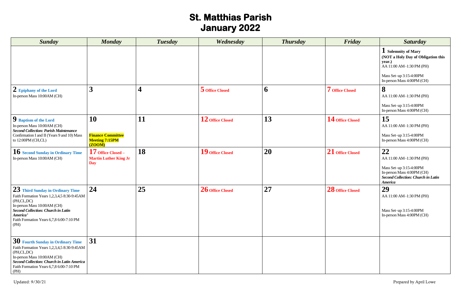# **St. Matthias Parish January 2022**

| <b>Sunday</b>                                                                                                                                                                                                                             | <b>Monday</b>                                                            | <b>Tuesday</b>   | Wednesday        | <b>Thursday</b> | Friday             | <b>Saturday</b>                                                                                                                                          |
|-------------------------------------------------------------------------------------------------------------------------------------------------------------------------------------------------------------------------------------------|--------------------------------------------------------------------------|------------------|------------------|-----------------|--------------------|----------------------------------------------------------------------------------------------------------------------------------------------------------|
|                                                                                                                                                                                                                                           |                                                                          |                  |                  |                 |                    | 1 Solemnity of Mary<br>(NOT a Holy Day of Obligation this<br>year.)<br>AA 11:00 AM-1:30 PM (PH)<br>Mass Set-up 3:15-4:00PM<br>In-person Mass 4:00PM (CH) |
| 2 Epiphany of the Lord<br>In-person Mass 10:00AM (CH)                                                                                                                                                                                     | 3                                                                        | $\boldsymbol{4}$ | 5 Office Closed  | 6               | 7 Office Closed    | 8<br>AA 11:00 AM-1:30 PM (PH)<br>Mass Set-up 3:15-4:00PM<br>In-person Mass 4:00PM (CH)                                                                   |
| <b>9</b> Baptism of the Lord<br>In-person Mass 10:00AM (CH)<br><b>Second Collection: Parish Maintenance</b><br>Confirmation I and II (Years 9 and 10) Mass<br>to 12:00PM (CH,CL)                                                          | <b>10</b><br><b>Finance Committee</b><br><b>Meeting 7:15PM</b><br>(ZOOM) | 11               | 12 Office Closed | 13              | 14 Office Closed   | 15<br>AA 11:00 AM-1:30 PM (PH)<br>Mass Set-up 3:15-4:00PM<br>In-person Mass 4:00PM (CH)                                                                  |
| <b>10 Second Sunday in Ordinary Time</b><br>In-person Mass 10:00AM (CH)                                                                                                                                                                   | $17$ Office Closed –<br><b>Martin Luther King Jr</b><br><b>Day</b>       | 18               | 19 Office Closed | 20              | $21$ Office Closed | 22<br>AA 11:00 AM-1:30 PM (PH)<br>Mass Set-up 3:15-4:00PM<br>In-person Mass 4:00PM (CH)<br><b>Second Collection: Church in Latin</b><br><b>America</b>   |
| 23 Third Sunday in Ordinary Time<br>Faith Formation Years 1,2,3,4,5 8:30-9:45AM<br>(PH,CL,DC)<br>In-person Mass 10:00AM (CH)<br><b>Second Collection: Church in Latin</b><br>America'<br>Faith Formation Years 6,7,8 6:00-7:10 PM<br>(PH) | 24                                                                       | 25               | 26 Office Closed | 27              | 28 Office Closed   | 29<br>AA 11:00 AM-1:30 PM (PH)<br>Mass Set-up 3:15-4:00PM<br>In-person Mass 4:00PM (CH)                                                                  |
| 30 Fourth Sunday in Ordinary Time<br>Faith Formation Years 1,2,3,4,5 8:30-9:45AM<br>(PH,CL,DC)<br>In-person Mass 10:00AM (CH)<br><b>Second Collection: Church in Latin America</b><br>Faith Formation Years 6,7,8 6:00-7:10 PM<br>(PH)    | 31                                                                       |                  |                  |                 |                    |                                                                                                                                                          |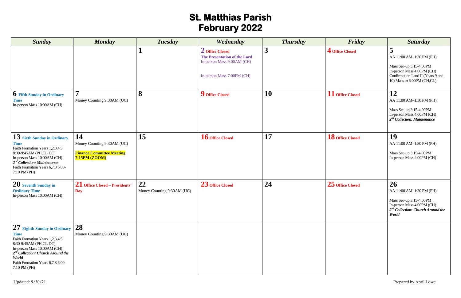# **St. Matthias Parish February 2022**

| <b>Sunday</b>                                                                                                                                                                                                                                         | <b>Monday</b>                                                                         | <b>Tuesday</b>                   | Wednesday                                                                                                          | <b>Thursday</b> | Friday           | <b>Saturday</b>                                                                                                                                            |
|-------------------------------------------------------------------------------------------------------------------------------------------------------------------------------------------------------------------------------------------------------|---------------------------------------------------------------------------------------|----------------------------------|--------------------------------------------------------------------------------------------------------------------|-----------------|------------------|------------------------------------------------------------------------------------------------------------------------------------------------------------|
|                                                                                                                                                                                                                                                       |                                                                                       |                                  | 2 Office Closed<br><b>The Presentation of the Lord</b><br>In-person Mass 9:00AM (CH)<br>In-person Mass 7:00PM (CH) | 3               | 4 Office Closed  | 5<br>AA 11:00 AM-1:30 PM (PH)<br>Mass Set-up 3:15-4:00PM<br>In-person Mass 4:00PM (CH)<br>Confirmation I and II (Years 9 and<br>10) Mass to 6:00PM (CH,CL) |
| <b>O</b> Fifth Sunday in Ordinary<br><b>Time</b><br>In-person Mass 10:00AM (CH)                                                                                                                                                                       | $\overline{\mathbf{r}}$<br>Money Counting 9:30AM (UC)                                 | 8                                | 9 Office Closed                                                                                                    | 10              | 11 Office Closed | 12<br>AA 11:00 AM-1:30 PM (PH)<br>Mass Set-up 3:15-4:00PM<br>In-person Mass 4:00PM (CH)<br>$2nd$ Collection: Maintenance                                   |
| $13$ Sixth Sunday in Ordinary<br><b>Time</b><br>Faith Formation Years 1,2,3,4,5<br>8:30-9:45AM (PH,CL,DC)<br>In-person Mass 10:00AM (CH)<br>$2^{nd}$ Collection: Maintenance<br>Faith Formation Years 6,7,8 6:00-<br>7:10 PM (PH)                     | 14<br>Money Counting 9:30AM (UC)<br><b>Finance Committee Meeting</b><br>7:15PM (ZOOM) | 15                               | 16 Office Closed                                                                                                   | 17              | 18 Office Closed | 19<br>AA 11:00 AM-1:30 PM (PH)<br>Mass Set-up 3:15-4:00PM<br>In-person Mass 4:00PM (CH)                                                                    |
| 20 Seventh Sunday in<br><b>Ordinary Time</b><br>In-person Mass 10:00AM (CH)                                                                                                                                                                           | 21 Office Closed – Presidents'<br><b>Day</b>                                          | 22<br>Money Counting 9:30AM (UC) | 23 Office Closed                                                                                                   | 24              | 25 Office Closed | 26<br>AA 11:00 AM-1:30 PM (PH)<br>Mass Set-up 3:15-4:00PM<br>In-person Mass 4:00PM (CH)<br>2 <sup>nd</sup> Collection: Church Around the<br>World          |
| 27 Eighth Sunday in Ordinary<br><b>Time</b><br>Faith Formation Years 1,2,3,4,5<br>8:30-9:45AM (PH,CL,DC)<br>In-person Mass 10:00AM (CH)<br>$2nd Collection: Church Around the$<br><b>World</b><br>Faith Formation Years 6,7,8 6:00-<br>$7:10$ PM (PH) | 28<br>Money Counting 9:30AM (UC)                                                      |                                  |                                                                                                                    |                 |                  |                                                                                                                                                            |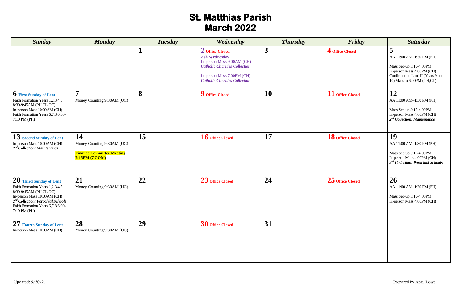## **St. Matthias Parish March 2022**

| <b>Sunday</b>                                                                                                                                                                                                               | <b>Monday</b>                                                                         | <b>Tuesday</b> | Wednesday                                                                                                                                                                           | <b>Thursday</b> | Friday           | <b>Saturday</b>                                                                                                                                            |
|-----------------------------------------------------------------------------------------------------------------------------------------------------------------------------------------------------------------------------|---------------------------------------------------------------------------------------|----------------|-------------------------------------------------------------------------------------------------------------------------------------------------------------------------------------|-----------------|------------------|------------------------------------------------------------------------------------------------------------------------------------------------------------|
|                                                                                                                                                                                                                             |                                                                                       |                | 2 Office Closed<br><b>Ash Wednesday</b><br>In-person Mass 9:00AM (CH)<br><b>Catholic Charities Collection</b><br>In-person Mass 7:00PM (CH)<br><b>Catholic Charities Collection</b> | 3               | 4 Office Closed  | 5<br>AA 11:00 AM-1:30 PM (PH)<br>Mass Set-up 3:15-4:00PM<br>In-person Mass 4:00PM (CH)<br>Confirmation I and II (Years 9 and<br>10) Mass to 6:00PM (CH,CL) |
| <b>b</b> First Sunday of Lent<br>Faith Formation Years 1,2,3,4,5<br>8:30-9:45AM (PH,CL,DC)<br>In-person Mass 10:00AM (CH)<br>Faith Formation Years 6,7,8 6:00-<br>7:10 PM (PH)                                              | Money Counting 9:30AM (UC)                                                            | 8              | 9 Office Closed                                                                                                                                                                     | <b>10</b>       | 11 Office Closed | 12<br>AA 11:00 AM-1:30 PM (PH)<br>Mass Set-up 3:15-4:00PM<br>In-person Mass 4:00PM (CH)<br>$2nd$ Collection: Maintenance                                   |
| 13 Second Sunday of Lent<br>In-person Mass 10:00AM (CH)<br>$2^{nd}$ Collection: Maintenance                                                                                                                                 | 14<br>Money Counting 9:30AM (UC)<br><b>Finance Committee Meeting</b><br>7:15PM (ZOOM) | 15             | 16 Office Closed                                                                                                                                                                    | 17              | 18 Office Closed | 19<br>AA 11:00 AM-1:30 PM (PH)<br>Mass Set-up 3:15-4:00PM<br>In-person Mass 4:00PM (CH)<br>$2nd$ Collection: Parochial Schools                             |
| 20 Third Sunday of Lent<br>Faith Formation Years 1,2,3,4,5<br>8:30-9:45AM (PH,CL,DC)<br>In-person Mass 10:00AM (CH)<br>2 <sup>nd</sup> Collection: Parochial Schools<br>Faith Formation Years 6,7,8 6:00-<br>$7:10$ PM (PH) | 21<br>Money Counting 9:30AM (UC)                                                      | 22             | 23 Office Closed                                                                                                                                                                    | 24              | 25 Office Closed | 26<br>AA 11:00 AM-1:30 PM (PH)<br>Mass Set-up 3:15-4:00PM<br>In-person Mass 4:00PM (CH)                                                                    |
| 27 Fourth Sunday of Lent<br>In-person Mass 10:00AM (CH)                                                                                                                                                                     | 28<br>Money Counting 9:30AM (UC)                                                      | 29             | 30 Office Closed                                                                                                                                                                    | 31              |                  |                                                                                                                                                            |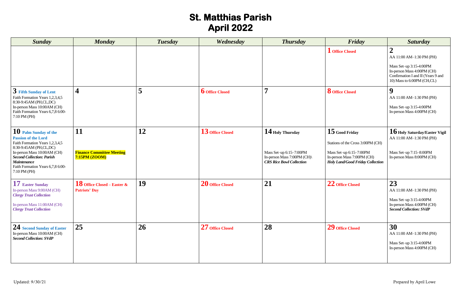# **St. Matthias Parish April 2022**

| <b>Sunday</b>                                                                                                                                                                                                                                                  | <b>Monday</b>                                          | <b>Tuesday</b>   | Wednesday              | <b>Thursday</b>                                                                          | Friday                                                                                             | <b>Saturday</b>                                                                                                                                       |
|----------------------------------------------------------------------------------------------------------------------------------------------------------------------------------------------------------------------------------------------------------------|--------------------------------------------------------|------------------|------------------------|------------------------------------------------------------------------------------------|----------------------------------------------------------------------------------------------------|-------------------------------------------------------------------------------------------------------------------------------------------------------|
|                                                                                                                                                                                                                                                                |                                                        |                  |                        |                                                                                          | <b>L</b> Office Closed                                                                             | AA 11:00 AM-1:30 PM (PH)<br>Mass Set-up 3:15-4:00PM<br>In-person Mass 4:00PM (CH)<br>Confirmation I and II (Years 9 and<br>10) Mass to 6:00PM (CH,CL) |
| 3 Fifth Sunday of Lent<br>Faith Formation Years 1,2,3,4,5<br>8:30-9:45AM (PH,CL,DC)<br>In-person Mass 10:00AM (CH)<br>Faith Formation Years 6,7,8 6:00-<br>7:10 PM (PH)                                                                                        | 4                                                      | 5                | <b>b</b> Office Closed | 7                                                                                        | <b>8</b> Office Closed                                                                             | 9<br>AA 11:00 AM-1:30 PM (PH)<br>Mass Set-up 3:15-4:00PM<br>In-person Mass 4:00PM (CH)                                                                |
| 10 Palm Sunday of the<br><b>Passion of the Lord</b><br>Faith Formation Years 1,2,3,4,5<br>8:30-9:45AM (PH,CL,DC)<br>In-person Mass 10:00AM (CH)<br><b>Second Collection: Parish</b><br><b>Maintenance</b><br>Faith Formation Years 6,7,8 6:00-<br>7:10 PM (PH) | 11<br>12                                               | 13 Office Closed | $14$ Holy Thursday     | $15$ Good Friday<br>Stations of the Cross 3:00PM (CH)                                    | 16 Holy Saturday/Easter Vigil<br>AA 11:00 AM-1:30 PM (PH)                                          |                                                                                                                                                       |
|                                                                                                                                                                                                                                                                | <b>Finance Committee Meeting</b><br>7:15PM (ZOOM)      |                  |                        | Mass Set-up 6:15-7:00PM<br>In-person Mass 7:00PM (CH)<br><b>CRS Rice Bowl Collection</b> | Mass Set-up $6:15-7:00PM$<br>In-person Mass 7:00PM (CH)<br><b>Holy Land/Good Friday Collection</b> | Mass Set-up 7:15-8:00PM<br>In-person Mass 8:00PM (CH)                                                                                                 |
| 17 Easter Sunday<br>In-person Mass 9:00AM (CH)<br><b>Clergy Trust Collection</b>                                                                                                                                                                               | 18 Office Closed – Easter $\&$<br><b>Patriots' Day</b> | 19               | 20 Office Closed       | 21                                                                                       | 22 Office Closed                                                                                   | 23<br>AA 11:00 AM-1:30 PM (PH)<br>Mass Set-up 3:15-4:00PM                                                                                             |
| In-person Mass 11:00AM (CH)<br><b>Clergy Trust Collection</b>                                                                                                                                                                                                  |                                                        |                  |                        |                                                                                          |                                                                                                    | In-person Mass 4:00PM (CH)<br><b>Second Collection: SVdP</b>                                                                                          |
| 24 Second Sunday of Easter<br>In-person Mass 10:00AM (CH)<br><b>Second Collection: SVdP</b>                                                                                                                                                                    | 25                                                     | 26               | 27 Office Closed       | 28                                                                                       | 29 Office Closed                                                                                   | 30<br>AA 11:00 AM-1:30 PM (PH)<br>Mass Set-up 3:15-4:00PM<br>In-person Mass 4:00PM (CH)                                                               |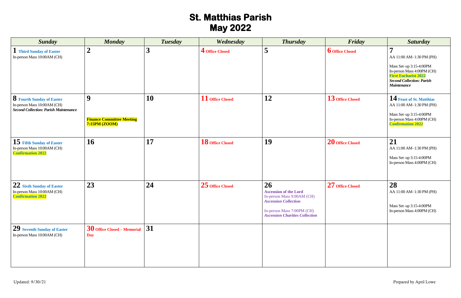# **St. Matthias Parish May 2022**

| <b>Sunday</b>                                                                                                   | <b>Monday</b>                                          | <b>Tuesday</b>          | Wednesday        | <b>Thursday</b>                                                                                                                                                        | Friday                 | <b>Saturday</b>                                                                                                                                                                              |
|-----------------------------------------------------------------------------------------------------------------|--------------------------------------------------------|-------------------------|------------------|------------------------------------------------------------------------------------------------------------------------------------------------------------------------|------------------------|----------------------------------------------------------------------------------------------------------------------------------------------------------------------------------------------|
| <b>Third Sunday of Easter</b><br>In-person Mass 10:00AM (CH)                                                    | $\boldsymbol{2}$                                       | $\overline{\mathbf{3}}$ | 4 Office Closed  | 5                                                                                                                                                                      | <b>6</b> Office Closed | $\overline{ }$<br>AA 11:00 AM-1:30 PM (PH)<br>Mass Set-up 3:15-4:00PM<br>In-person Mass 4:00PM (CH)<br><b>First Eucharist 2022</b><br><b>Second Collection: Parish</b><br><b>Maintenance</b> |
| <b>8</b> Fourth Sunday of Easter<br>In-person Mass 10:00AM (CH)<br><b>Second Collection: Parish Maintenance</b> | 9<br><b>Finance Committee Meeting</b><br>7:15PM (ZOOM) | 10                      | 11 Office Closed | 12                                                                                                                                                                     | 13 Office Closed       | 14 Feast of St. Matthias<br>AA 11:00 AM-1:30 PM (PH)<br>Mass Set-up 3:15-4:00PM<br>In-person Mass 4:00PM (CH)<br><b>Confirmation 2022</b>                                                    |
| 15 Fifth Sunday of Easter<br>In-person Mass 10:00AM (CH)<br><b>Confirmation 2022</b>                            | 16                                                     | 17                      | 18 Office Closed | 19                                                                                                                                                                     | 20 Office Closed       | 21<br>AA 11:00 AM-1:30 PM (PH)<br>Mass Set-up 3:15-4:00PM<br>In-person Mass 4:00PM (CH)                                                                                                      |
| 22 Sixth Sunday of Easter<br>In-person Mass 10:00AM (CH)<br><b>Confirmation 2022</b>                            | 23                                                     | 24                      | 25 Office Closed | 26<br><b>Ascension of the Lord</b><br>In-person Mass 9:00AM (CH)<br><b>Ascension Collection</b><br>In-person Mass 7:00PM (CH)<br><b>Ascension Charities Collection</b> | 27 Office Closed       | 28<br>AA 11:00 AM-1:30 PM (PH)<br>Mass Set-up 3:15-4:00PM<br>In-person Mass 4:00PM (CH)                                                                                                      |
| $29$ Seventh Sunday of Easter<br>In-person Mass 10:00AM (CH)                                                    | $30$ Office Closed – Memorial<br><b>Day</b>            | 31                      |                  |                                                                                                                                                                        |                        |                                                                                                                                                                                              |